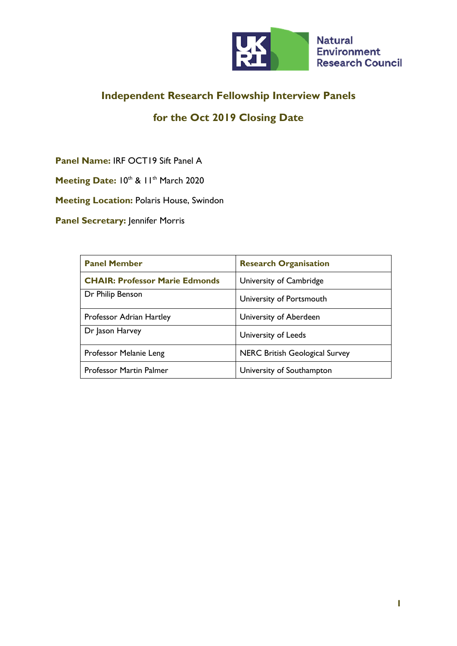

### **Independent Research Fellowship Interview Panels**

# **for the Oct 2019 Closing Date**

**Panel Name:** IRF OCT19 Sift Panel A

Meeting Date: 10th & 11th March 2020

**Meeting Location:** Polaris House, Swindon

**Panel Secretary: Jennifer Morris** 

| <b>Panel Member</b>                   | <b>Research Organisation</b>          |
|---------------------------------------|---------------------------------------|
| <b>CHAIR: Professor Marie Edmonds</b> | University of Cambridge               |
| Dr Philip Benson                      | University of Portsmouth              |
| Professor Adrian Hartley              | University of Aberdeen                |
| Dr Jason Harvey                       | University of Leeds                   |
| Professor Melanie Leng                | <b>NERC British Geological Survey</b> |
| <b>Professor Martin Palmer</b>        | University of Southampton             |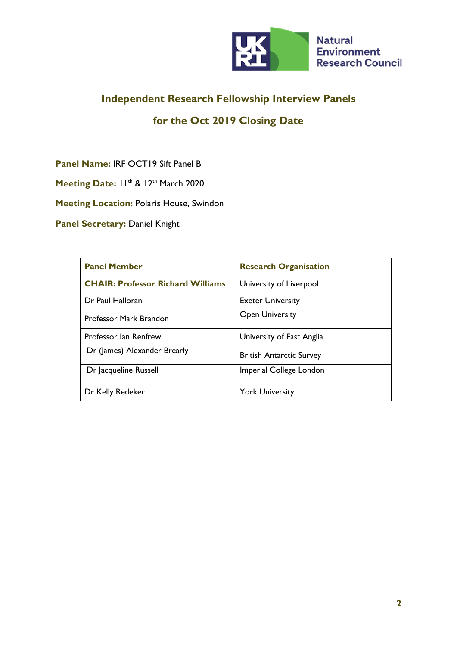

# **Independent Research Fellowship Interview Panels**

### **for the Oct 2019 Closing Date**

**Panel Name:** IRF OCT19 Sift Panel B

Meeting Date:  $11^{th}$  & 12<sup>th</sup> March 2020

**Meeting Location:** Polaris House, Swindon

**Panel Secretary: Daniel Knight** 

| <b>Panel Member</b>                      | <b>Research Organisation</b>    |
|------------------------------------------|---------------------------------|
| <b>CHAIR: Professor Richard Williams</b> | University of Liverpool         |
| Dr Paul Halloran                         | <b>Exeter University</b>        |
| Professor Mark Brandon                   | <b>Open University</b>          |
| Professor lan Renfrew                    | University of East Anglia       |
| Dr (James) Alexander Brearly             | <b>British Antarctic Survey</b> |
| Dr Jacqueline Russell                    | Imperial College London         |
| Dr Kelly Redeker                         | <b>York University</b>          |